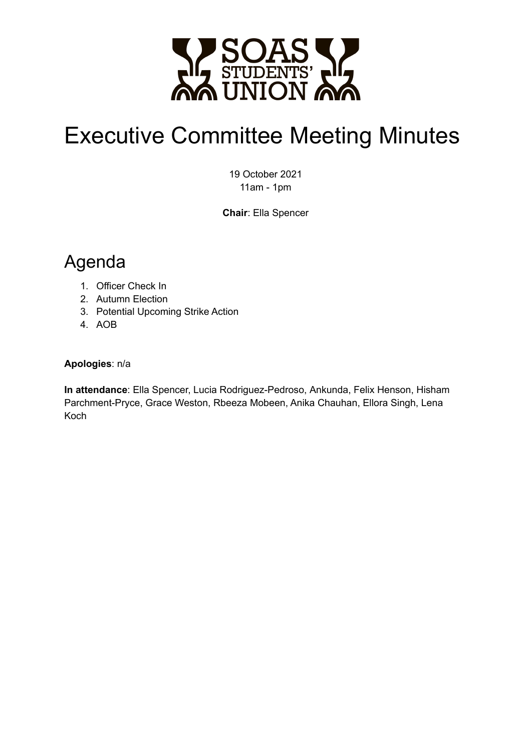

# Executive Committee Meeting Minutes

19 October 2021 11am - 1pm

**Chair**: Ella Spencer

## Agenda

- 1. Officer Check In
- 2. Autumn Election
- 3. Potential Upcoming Strike Action
- 4. AOB

#### **Apologies**: n/a

**In attendance**: Ella Spencer, Lucia Rodriguez-Pedroso, Ankunda, Felix Henson, Hisham Parchment-Pryce, Grace Weston, Rbeeza Mobeen, Anika Chauhan, Ellora Singh, Lena Koch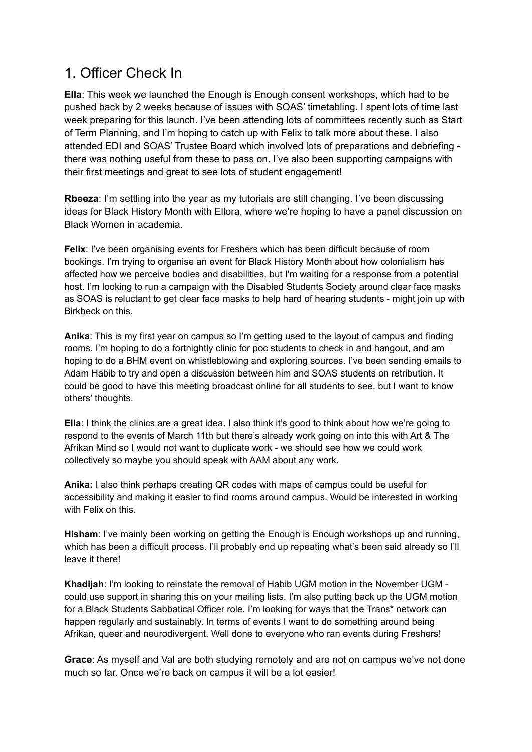#### 1. Officer Check In

**Ella**: This week we launched the Enough is Enough consent workshops, which had to be pushed back by 2 weeks because of issues with SOAS' timetabling. I spent lots of time last week preparing for this launch. I've been attending lots of committees recently such as Start of Term Planning, and I'm hoping to catch up with Felix to talk more about these. I also attended EDI and SOAS' Trustee Board which involved lots of preparations and debriefing there was nothing useful from these to pass on. I've also been supporting campaigns with their first meetings and great to see lots of student engagement!

**Rbeeza**: I'm settling into the year as my tutorials are still changing. I've been discussing ideas for Black History Month with Ellora, where we're hoping to have a panel discussion on Black Women in academia.

**Felix**: I've been organising events for Freshers which has been difficult because of room bookings. I'm trying to organise an event for Black History Month about how colonialism has affected how we perceive bodies and disabilities, but I'm waiting for a response from a potential host. I'm looking to run a campaign with the Disabled Students Society around clear face masks as SOAS is reluctant to get clear face masks to help hard of hearing students - might join up with Birkbeck on this.

**Anika**: This is my first year on campus so I'm getting used to the layout of campus and finding rooms. I'm hoping to do a fortnightly clinic for poc students to check in and hangout, and am hoping to do a BHM event on whistleblowing and exploring sources. I've been sending emails to Adam Habib to try and open a discussion between him and SOAS students on retribution. It could be good to have this meeting broadcast online for all students to see, but I want to know others' thoughts.

**Ella**: I think the clinics are a great idea. I also think it's good to think about how we're going to respond to the events of March 11th but there's already work going on into this with Art & The Afrikan Mind so I would not want to duplicate work - we should see how we could work collectively so maybe you should speak with AAM about any work.

**Anika:** I also think perhaps creating QR codes with maps of campus could be useful for accessibility and making it easier to find rooms around campus. Would be interested in working with Felix on this.

**Hisham**: I've mainly been working on getting the Enough is Enough workshops up and running, which has been a difficult process. I'll probably end up repeating what's been said already so I'll leave it there!

**Khadijah**: I'm looking to reinstate the removal of Habib UGM motion in the November UGM could use support in sharing this on your mailing lists. I'm also putting back up the UGM motion for a Black Students Sabbatical Officer role. I'm looking for ways that the Trans\* network can happen regularly and sustainably. In terms of events I want to do something around being Afrikan, queer and neurodivergent. Well done to everyone who ran events during Freshers!

**Grace**: As myself and Val are both studying remotely and are not on campus we've not done much so far. Once we're back on campus it will be a lot easier!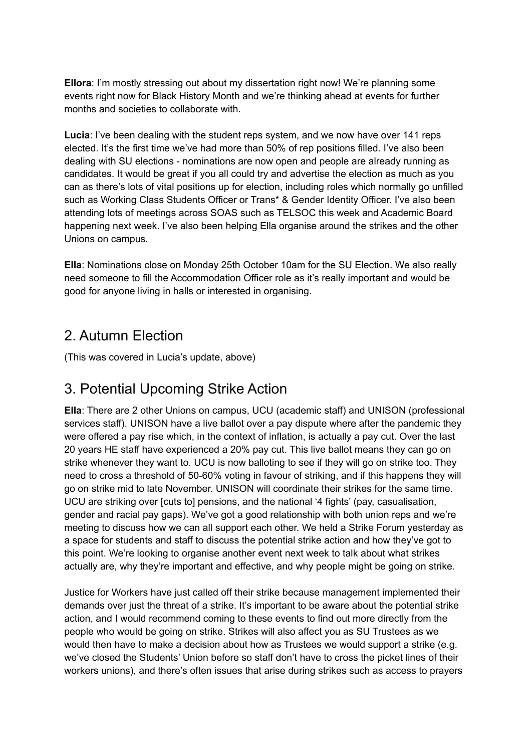**Ellora**: I'm mostly stressing out about my dissertation right now! We're planning some events right now for Black History Month and we're thinking ahead at events for further months and societies to collaborate with.

**Lucia**: I've been dealing with the student reps system, and we now have over 141 reps elected. It's the first time we've had more than 50% of rep positions filled. I've also been dealing with SU elections - nominations are now open and people are already running as candidates. It would be great if you all could try and advertise the election as much as you can as there's lots of vital positions up for election, including roles which normally go unfilled such as Working Class Students Officer or Trans\* & Gender Identity Officer. I've also been attending lots of meetings across SOAS such as TELSOC this week and Academic Board happening next week. I've also been helping Ella organise around the strikes and the other Unions on campus.

**Ella**: Nominations close on Monday 25th October 10am for the SU Election. We also really need someone to fill the Accommodation Officer role as it's really important and would be good for anyone living in halls or interested in organising.

#### 2. Autumn Election

(This was covered in Lucia's update, above)

#### 3. Potential Upcoming Strike Action

**Ella**: There are 2 other Unions on campus, UCU (academic staff) and UNISON (professional services staff). UNISON have a live ballot over a pay dispute where after the pandemic they were offered a pay rise which, in the context of inflation, is actually a pay cut. Over the last 20 years HE staff have experienced a 20% pay cut. This live ballot means they can go on strike whenever they want to. UCU is now balloting to see if they will go on strike too. They need to cross a threshold of 50-60% voting in favour of striking, and if this happens they will go on strike mid to late November. UNISON will coordinate their strikes for the same time. UCU are striking over [cuts to] pensions, and the national '4 fights' (pay, casualisation, gender and racial pay gaps). We've got a good relationship with both union reps and we're meeting to discuss how we can all support each other. We held a Strike Forum yesterday as a space for students and staff to discuss the potential strike action and how they've got to this point. We're looking to organise another event next week to talk about what strikes actually are, why they're important and effective, and why people might be going on strike.

Justice for Workers have just called off their strike because management implemented their demands over just the threat of a strike. It's important to be aware about the potential strike action, and I would recommend coming to these events to find out more directly from the people who would be going on strike. Strikes will also affect you as SU Trustees as we would then have to make a decision about how as Trustees we would support a strike (e.g. we've closed the Students' Union before so staff don't have to cross the picket lines of their workers unions), and there's often issues that arise during strikes such as access to prayers